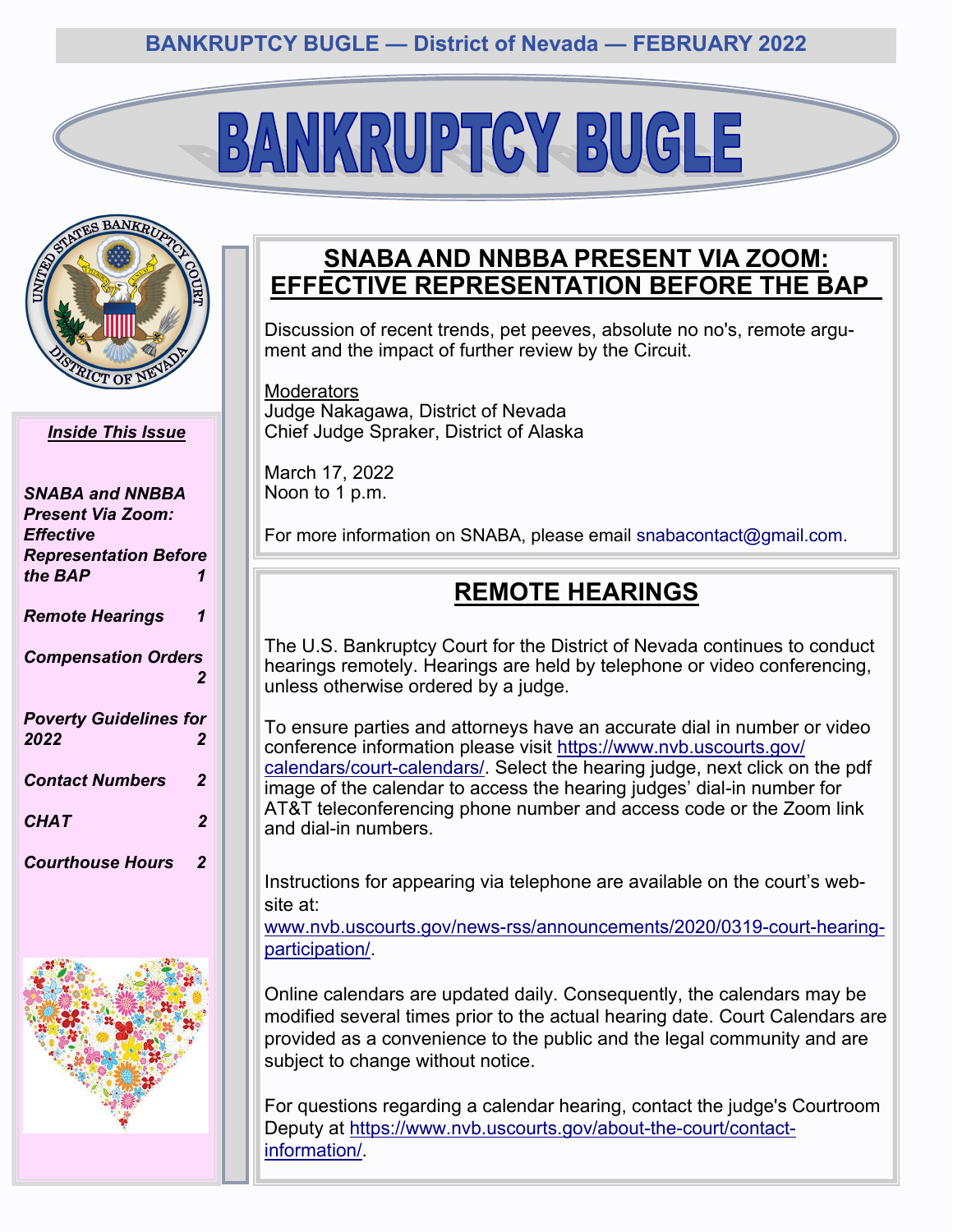# BANKRUPTGY BUGLE



#### *Inside This Issue*

| SNABA and NNBBA<br>Present Via Zoom:<br><b>Effective</b> |   |
|----------------------------------------------------------|---|
| <b>Representation Before</b><br>the <b>BAP</b>           | 1 |
| <b>Remote Hearings</b>                                   | 1 |
| <b>Compensation Orders</b>                               | 2 |
| <b>Poverty Guidelines for</b><br>2022                    | 2 |
| <b>Contact Numbers</b>                                   | 2 |
| <b>CHAT</b>                                              | 2 |
| <b>Courthouse Hours</b>                                  | 2 |



### **SNABA AND NNBBA PRESENT VIA ZOOM: EFFECTIVE REPRESENTATION BEFORE THE BAP**

Discussion of recent trends, pet peeves, absolute no no's, remote argument and the impact of further review by the Circuit.

**Moderators** Judge Nakagawa, District of Nevada Chief Judge Spraker, District of Alaska

March 17, 2022 Noon to 1 p.m.

For more information on SNABA, please email snabacontact@gmail.com.

## **REMOTE HEARINGS**

The U.S. Bankruptcy Court for the District of Nevada continues to conduct hearings remotely. Hearings are held by telephone or video conferencing, unless otherwise ordered by a judge.

To ensure parties and attorneys have an accurate dial in number or video conference information please visit [https://www.nvb.uscourts.gov/](https://www.nvb.uscourts.gov/calendars/court-calendars/) [calendars/court](https://www.nvb.uscourts.gov/calendars/court-calendars/)-calendars/. Select the hearing judge, next click on the pdf image of the calendar to access the hearing judges' dial-in number for AT&T teleconferencing phone number and access code or the Zoom link and dial-in numbers.

Instructions for appearing via telephone are available on the court's website at:

www.nvb.uscourts.gov/news-[rss/announcements/2020/0319](http://www.nvb.uscourts.gov/news-rss/announcements/2020/0319-court-hearing-participation/)-court-hearing[participation/.](http://www.nvb.uscourts.gov/news-rss/announcements/2020/0319-court-hearing-participation/)

Online calendars are updated daily. Consequently, the calendars may be modified several times prior to the actual hearing date. Court Calendars are provided as a convenience to the public and the legal community and are subject to change without notice.

For questions regarding a calendar hearing, contact the judge's Courtroom Deputy at [https://www.nvb.uscourts.gov/about](https://www.nvb.uscourts.gov/about-the-court/contact-information/)-the-court/contact[information/.](https://www.nvb.uscourts.gov/about-the-court/contact-information/)